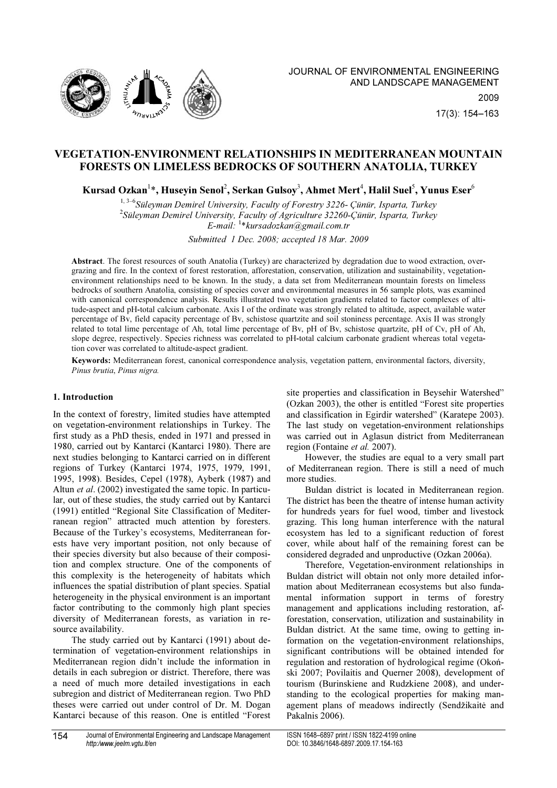

# VEGETATION-ENVIRONMENT RELATIONSHIPS IN MEDITERRANEAN MOUNTAIN FORESTS ON LIMELESS BEDROCKS OF SOUTHERN ANATOLIA, TURKEY

Kursad Ozkan $^{1*}$ , Huseyin Senol $^{2}$ , Serkan Gulsoy $^{3}$ , Ahmet Mert $^{4}$ , Halil Suel $^{5}$ , Yunus Eser $^{6}$ 

 $1,3-6$ Süleyman Demirel University, Faculty of Forestry 3226- Cünür, Isparta, Turkey <sup>2</sup>Süleyman Demirel University, Faculty of Agriculture 32260-Çünür, Isparta, Turkey E-mail: <sup>1</sup>\*kursadozkan@gmail.com.tr

Submitted 1 Dec. 2008; accepted 18 Mar. 2009

Abstract. The forest resources of south Anatolia (Turkey) are characterized by degradation due to wood extraction, overgrazing and fire. In the context of forest restoration, afforestation, conservation, utilization and sustainability, vegetationenvironment relationships need to be known. In the study, a data set from Mediterranean mountain forests on limeless bedrocks of southern Anatolia, consisting of species cover and environmental measures in 56 sample plots, was examined with canonical correspondence analysis. Results illustrated two vegetation gradients related to factor complexes of altitude-aspect and pH-total calcium carbonate. Axis I of the ordinate was strongly related to altitude, aspect, available water percentage of Bv, field capacity percentage of Bv, schistose quartzite and soil stoniness percentage. Axis II was strongly related to total lime percentage of Ah, total lime percentage of Bv, pH of Bv, schistose quartzite, pH of Cv, pH of Ah, slope degree, respectively. Species richness was correlated to pH-total calcium carbonate gradient whereas total vegetation cover was correlated to altitude-aspect gradient.

Keywords: Mediterranean forest, canonical correspondence analysis, vegetation pattern, environmental factors, diversity, Pinus brutia, Pinus nigra.

# 1. Introduction

In the context of forestry, limited studies have attempted on vegetation-environment relationships in Turkey. The first study as a PhD thesis, ended in 1971 and pressed in 1980, carried out by Kantarci (Kantarci 1980). There are next studies belonging to Kantarci carried on in different regions of Turkey (Kantarci 1974, 1975, 1979, 1991, 1995, 1998). Besides, Cepel (1978), Ayberk (1987) and Altun et al. (2002) investigated the same topic. In particular, out of these studies, the study carried out by Kantarci (1991) entitled "Regional Site Classification of Mediterranean region" attracted much attention by foresters. Because of the Turkey's ecosystems, Mediterranean forests have very important position, not only because of their species diversity but also because of their composition and complex structure. One of the components of this complexity is the heterogeneity of habitats which influences the spatial distribution of plant species. Spatial heterogeneity in the physical environment is an important factor contributing to the commonly high plant species diversity of Mediterranean forests, as variation in resource availability.

The study carried out by Kantarci (1991) about determination of vegetation-environment relationships in Mediterranean region didn't include the information in details in each subregion or district. Therefore, there was a need of much more detailed investigations in each subregion and district of Mediterranean region. Two PhD theses were carried out under control of Dr. M. Dogan Kantarci because of this reason. One is entitled "Forest

site properties and classification in Beysehir Watershed" (Ozkan 2003), the other is entitled "Forest site properties and classification in Egirdir watershed" (Karatepe 2003). The last study on vegetation-environment relationships was carried out in Aglasun district from Mediterranean region (Fontaine et al. 2007).

However, the studies are equal to a very small part of Mediterranean region. There is still a need of much more studies.

Buldan district is located in Mediterranean region. The district has been the theatre of intense human activity for hundreds years for fuel wood, timber and livestock grazing. This long human interference with the natural ecosystem has led to a significant reduction of forest cover, while about half of the remaining forest can be considered degraded and unproductive (Ozkan 2006a).

Therefore, Vegetation-environment relationships in Buldan district will obtain not only more detailed information about Mediterranean ecosystems but also fundamental information support in terms of forestry management and applications including restoration, afforestation, conservation, utilization and sustainability in Buldan district. At the same time, owing to getting information on the vegetation-environment relationships, significant contributions will be obtained intended for regulation and restoration of hydrological regime (Okoński 2007; Povilaitis and Querner 2008), development of tourism (Burinskiene and Rudzkiene 2008), and understanding to the ecological properties for making management plans of meadows indirectly (Sendžikaitė and Pakalnis 2006).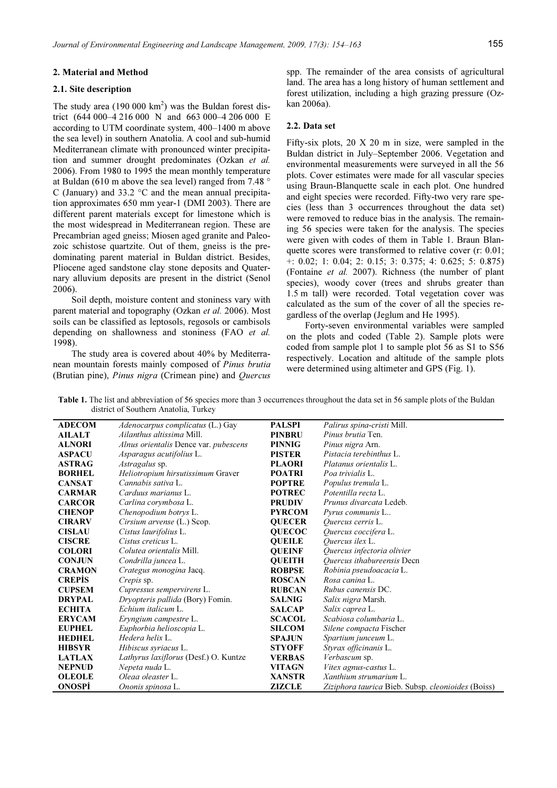#### 2. Material and Method

## 2.1. Site description

The study area  $(190000 \text{ km}^2)$  was the Buldan forest district (644 000–4 216 000 N and 663 000–4 206 000 E according to UTM coordinate system, 400–1400 m above the sea level) in southern Anatolia. A cool and sub-humid Mediterranean climate with pronounced winter precipitation and summer drought predominates (Ozkan et al. 2006). From 1980 to 1995 the mean monthly temperature at Buldan (610 m above the sea level) ranged from 7.48 ° C (January) and  $33.2 \text{ °C}$  and the mean annual precipitation approximates 650 mm year-1 (DMI 2003). There are different parent materials except for limestone which is the most widespread in Mediterranean region. These are Precambrian aged gneiss; Miosen aged granite and Paleozoic schistose quartzite. Out of them, gneiss is the predominating parent material in Buldan district. Besides, Pliocene aged sandstone clay stone deposits and Quaternary alluvium deposits are present in the district (Senol 2006).

Soil depth, moisture content and stoniness vary with parent material and topography (Ozkan et al. 2006). Most soils can be classified as leptosols, regosols or cambisols depending on shallowness and stoniness (FAO et al. 1998).

The study area is covered about 40% by Mediterranean mountain forests mainly composed of Pinus brutia (Brutian pine), Pinus nigra (Crimean pine) and Quercus spp. The remainder of the area consists of agricultural land. The area has a long history of human settlement and forest utilization, including a high grazing pressure (Ozkan 2006a).

#### 2.2. Data set

Fifty-six plots, 20 X 20 m in size, were sampled in the Buldan district in July–September 2006. Vegetation and environmental measurements were surveyed in all the 56 plots. Cover estimates were made for all vascular species using Braun-Blanquette scale in each plot. One hundred and eight species were recorded. Fifty-two very rare species (less than 3 occurrences throughout the data set) were removed to reduce bias in the analysis. The remaining 56 species were taken for the analysis. The species were given with codes of them in Table 1. Braun Blanquette scores were transformed to relative cover (r: 0.01; +: 0.02; 1: 0.04; 2: 0.15; 3: 0.375; 4: 0.625; 5: 0.875) (Fontaine et al. 2007). Richness (the number of plant species), woody cover (trees and shrubs greater than 1.5 m tall) were recorded. Total vegetation cover was calculated as the sum of the cover of all the species regardless of the overlap (Jeglum and He 1995).

Forty-seven environmental variables were sampled on the plots and coded (Table 2). Sample plots were coded from sample plot 1 to sample plot 56 as S1 to S56 respectively. Location and altitude of the sample plots were determined using altimeter and GPS (Fig. 1).

Table 1. The list and abbreviation of 56 species more than 3 occurrences throughout the data set in 56 sample plots of the Buldan district of Southern Anatolia, Turkey

| <b>ADECOM</b> | <i>Adenocarpus complicatus</i> (L.) Gay      | <b>PALSPI</b> | <i>Palirus spina-cristi</i> Mill.                  |
|---------------|----------------------------------------------|---------------|----------------------------------------------------|
| <b>AILALT</b> | <i>Ailanthus altissima</i> Mill.             | <b>PINBRU</b> | <i>Pinus brutia</i> Ten.                           |
| <b>ALNORI</b> | Alnus orientalis Dence var. pubescens        | <b>PINNIG</b> | Pinus nigra Arn.                                   |
| <b>ASPACU</b> | <i>Asparagus acutifolius</i> L.              | <b>PISTER</b> | Pistacia terebinthus L.                            |
| <b>ASTRAG</b> | <i>Astragalus</i> sp.                        | <b>PLAORI</b> | <i>Platanus orientalis</i> L.                      |
| <b>BORHEL</b> | Heliotropium hirsutissimum Graver            | <b>POATRI</b> | Poa trivialis L.                                   |
| <b>CANSAT</b> | Cannabis sativa L.                           | <b>POPTRE</b> | Populus tremula L.                                 |
| <b>CARMAR</b> | Carduus marianus L.                          | <b>POTREC</b> | Potentilla recta L.                                |
| <b>CARCOR</b> | Carlina corymbosa L.                         | <b>PRUDIV</b> | Prunus divarcata Ledeb.                            |
| <b>CHENOP</b> | Chenopodium botrys L.                        | <b>PYRCOM</b> | <i>Pyrus communis</i> L                            |
| <b>CIRARV</b> | Cirsium arvense (L.) Scop.                   | <b>QUECER</b> | Quercus cerris L.                                  |
| <b>CISLAU</b> | Cistus laurifolius L.                        | <b>OUECOC</b> | Quercus coccifera L.                               |
| <b>CISCRE</b> | Cistus creticus L.                           | <b>QUEILE</b> | Ouercus ilex L.                                    |
| <b>COLORI</b> | Colutea orientalis Mill.                     | <b>OUEINF</b> | Quercus infectoria olivier                         |
| <b>CONJUN</b> | Condrilla juncea L.                          | <b>OUEITH</b> | Quercus ithabureensis Decn                         |
| <b>CRAMON</b> | Crategus monogina Jacq.                      | <b>ROBPSE</b> | Robinia pseudoacacia L.                            |
| <b>CREPIS</b> | <i>Crepis</i> sp.                            | <b>ROSCAN</b> | Rosa canina L.                                     |
| <b>CUPSEM</b> | Cupressus sempervirens L.                    | <b>RUBCAN</b> | <i>Rubus canensis DC.</i>                          |
| <b>DRYPAL</b> | Dryopteris pallida (Bory) Fomin.             | <b>SALNIG</b> | <i>Salix nigra</i> Marsh.                          |
| <b>ECHITA</b> | Echium italicum L.                           | <b>SALCAP</b> | Salix caprea L.                                    |
| <b>ERYCAM</b> | Eryngium campestre L.                        | <b>SCACOL</b> | Scabiosa columbaria L.                             |
| <b>EUPHEL</b> | Euphorbia helioscopia L.                     | <b>SILCOM</b> | Silene compacta Fischer                            |
| HEDHEL        | Hedera helix L.                              | <b>SPAJUN</b> | Spartium junceum L.                                |
| <b>HIBSYR</b> | Hibiscus syriacus L.                         | <b>STYOFF</b> | Styrax officinanis L.                              |
| <b>LATLAX</b> | <i>Lathyrus laxiflorus</i> (Desf.) O. Kuntze | <b>VERBAS</b> | Verbascum sp.                                      |
| <b>NEPNUD</b> | Nepeta nuda L.                               | <b>VITAGN</b> | Vitex agnus-castus L.                              |
| <b>OLEOLE</b> | Oleaa oleaster L.                            | <b>XANSTR</b> | Xanthium strumarium L.                             |
| <b>ONOSPI</b> | Ononis spinosa L.                            | <b>ZIZCLE</b> | Ziziphora taurica Bieb. Subsp. cleonioides (Boiss) |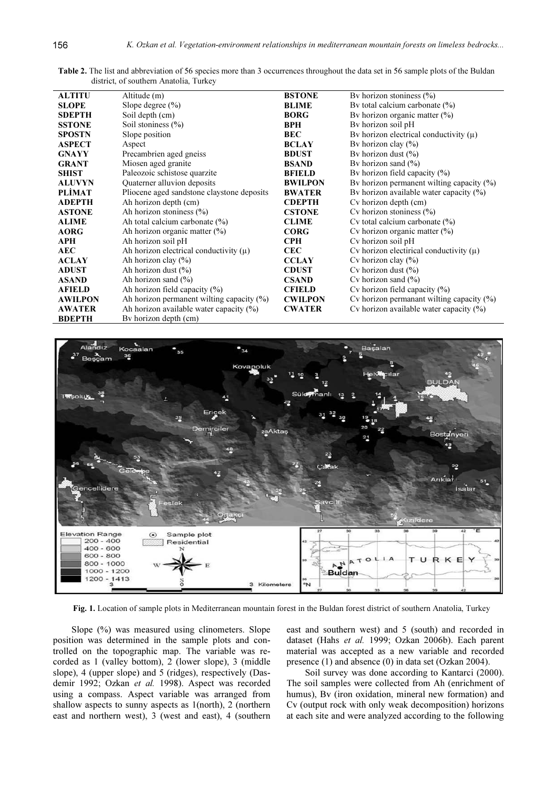| <b>ALTITU</b>  | Altitude (m)                                 | <b>BSTONE</b>  | By horizon stoniness $(\% )$                 |
|----------------|----------------------------------------------|----------------|----------------------------------------------|
| <b>SLOPE</b>   | Slope degree (%)                             | <b>BLIME</b>   | By total calcium carbonate $(\%)$            |
|                |                                              |                |                                              |
| <b>SDEPTH</b>  | Soil depth (cm)                              | <b>BORG</b>    | By horizon organic matter $(\% )$            |
| <b>SSTONE</b>  | Soil stoniness $(\% )$                       | <b>BPH</b>     | By horizon soil pH                           |
| <b>SPOSTN</b>  | Slope position                               | <b>BEC</b>     | By horizon electrical conductivity $(\mu)$   |
| <b>ASPECT</b>  | Aspect                                       | <b>BCLAY</b>   | By horizon clay $(\% )$                      |
| <b>GNAYY</b>   | Precambrien aged gneiss                      | <b>BDUST</b>   | By horizon dust $(\% )$                      |
| <b>GRANT</b>   | Miosen aged granite                          | <b>BSAND</b>   | By horizon sand $(\% )$                      |
| <b>SHIST</b>   | Paleozoic schistose quarzite                 | <b>BFIELD</b>  | By horizon field capacity $(\% )$            |
| <b>ALUVYN</b>  | Quaterner alluvion deposits                  | <b>BWILPON</b> | By horizon permanent wilting capacity $(\%)$ |
| <b>PLIMAT</b>  | Pliocene aged sandstone claystone deposits   | <b>BWATER</b>  | By horizon available water capacity $(\% )$  |
| <b>ADEPTH</b>  | Ah horizon depth (cm)                        | <b>CDEPTH</b>  | Cv horizon depth (cm)                        |
| <b>ASTONE</b>  | Ah horizon stoniness $(\% )$                 | <b>CSTONE</b>  | Cv horizon stoniness $(\% )$                 |
| <b>ALIME</b>   | Ah total calcium carbonate (%)               | <b>CLIME</b>   | Cv total calcium carbonate $(\%)$            |
| <b>AORG</b>    | Ah horizon organic matter $(\% )$            | <b>CORG</b>    | Cv horizon organic matter $(\% )$            |
| <b>APH</b>     | Ah horizon soil pH                           | <b>CPH</b>     | Cv horizon soil pH                           |
| <b>AEC</b>     | Ah horizon electrical conductivity $(\mu)$   | <b>CEC</b>     | Cy horizon electivical conductivity $(\mu)$  |
| <b>ACLAY</b>   | Ah horizon clay (%)                          | <b>CCLAY</b>   | Cv horizon clay $(\% )$                      |
| <b>ADUST</b>   | Ah horizon dust $(\% )$                      | <b>CDUST</b>   | Cv horizon dust (%)                          |
| <b>ASAND</b>   | Ah horizon sand $(\% )$                      | <b>CSAND</b>   | Cv horizon sand $(\% )$                      |
| <b>AFIELD</b>  | Ah horizon field capacity (%)                | <b>CFIELD</b>  | Cv horizon field capacity (%)                |
| <b>AWILPON</b> | Ah horizon permanent wilting capacity $(\%)$ | <b>CWILPON</b> | Cv horizon permanant wilting capacity $(\%)$ |
| <b>AWATER</b>  | Ah horizon available water capacity $(\% )$  | <b>CWATER</b>  | Cy horizon available water capacity $(\% )$  |
| <b>BDEPTH</b>  | By horizon depth (cm)                        |                |                                              |

Table 2. The list and abbreviation of 56 species more than 3 occurrences throughout the data set in 56 sample plots of the Buldan district, of southern Anatolia, Turkey



Fig. 1. Location of sample plots in Mediterranean mountain forest in the Buldan forest district of southern Anatolia, Turkey

Slope (%) was measured using clinometers. Slope position was determined in the sample plots and controlled on the topographic map. The variable was recorded as 1 (valley bottom), 2 (lower slope), 3 (middle slope), 4 (upper slope) and 5 (ridges), respectively (Dasdemir 1992; Ozkan et al. 1998). Aspect was recorded using a compass. Aspect variable was arranged from shallow aspects to sunny aspects as 1(north), 2 (northern east and northern west), 3 (west and east), 4 (southern east and southern west) and 5 (south) and recorded in dataset (Hahs et al. 1999; Ozkan 2006b). Each parent material was accepted as a new variable and recorded presence (1) and absence (0) in data set (Ozkan 2004).

Soil survey was done according to Kantarci (2000). The soil samples were collected from Ah (enrichment of humus), Bv (iron oxidation, mineral new formation) and Cv (output rock with only weak decomposition) horizons at each site and were analyzed according to the following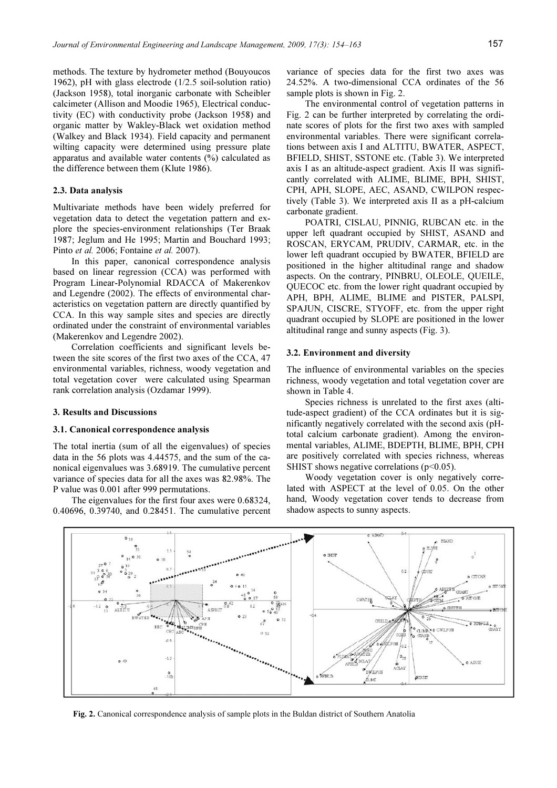methods. The texture by hydrometer method (Bouyoucos 1962), pH with glass electrode (1/2.5 soil-solution ratio) (Jackson 1958), total inorganic carbonate with Scheibler calcimeter (Allison and Moodie 1965), Electrical conductivity (EC) with conductivity probe (Jackson 1958) and organic matter by Wakley-Black wet oxidation method (Walkey and Black 1934). Field capacity and permanent wilting capacity were determined using pressure plate apparatus and available water contents (%) calculated as the difference between them (Klute 1986).

## 2.3. Data analysis

Multivariate methods have been widely preferred for vegetation data to detect the vegetation pattern and explore the species-environment relationships (Ter Braak 1987; Jeglum and He 1995; Martin and Bouchard 1993; Pinto et al. 2006; Fontaine et al. 2007).

In this paper, canonical correspondence analysis based on linear regression (CCA) was performed with Program Linear-Polynomial RDACCA of Makerenkov and Legendre (2002). The effects of environmental characteristics on vegetation pattern are directly quantified by CCA. In this way sample sites and species are directly ordinated under the constraint of environmental variables (Makerenkov and Legendre 2002).

Correlation coefficients and significant levels between the site scores of the first two axes of the CCA, 47 environmental variables, richness, woody vegetation and total vegetation cover were calculated using Spearman rank correlation analysis (Ozdamar 1999).

## 3. Results and Discussions

#### 3.1. Canonical correspondence analysis

The total inertia (sum of all the eigenvalues) of species data in the 56 plots was 4.44575, and the sum of the canonical eigenvalues was 3.68919. The cumulative percent variance of species data for all the axes was 82.98%. The P value was 0.001 after 999 permutations.

The eigenvalues for the first four axes were 0.68324, 0.40696, 0.39740, and 0.28451. The cumulative percent variance of species data for the first two axes was 24.52%. A two-dimensional CCA ordinates of the 56 sample plots is shown in Fig. 2.

The environmental control of vegetation patterns in Fig. 2 can be further interpreted by correlating the ordinate scores of plots for the first two axes with sampled environmental variables. There were significant correlations between axis I and ALTITU, BWATER, ASPECT, BFIELD, SHIST, SSTONE etc. (Table 3). We interpreted axis I as an altitude-aspect gradient. Axis II was significantly correlated with ALIME, BLIME, BPH, SHIST, CPH, APH, SLOPE, AEC, ASAND, CWILPON respectively (Table 3). We interpreted axis II as a pH-calcium carbonate gradient.

POATRI, CISLAU, PINNIG, RUBCAN etc. in the upper left quadrant occupied by SHIST, ASAND and ROSCAN, ERYCAM, PRUDIV, CARMAR, etc. in the lower left quadrant occupied by BWATER, BFIELD are positioned in the higher altitudinal range and shadow aspects. On the contrary, PINBRU, OLEOLE, QUEILE, QUECOC etc. from the lower right quadrant occupied by APH, BPH, ALIME, BLIME and PISTER, PALSPI, SPAJUN, CISCRE, STYOFF, etc. from the upper right quadrant occupied by SLOPE are positioned in the lower altitudinal range and sunny aspects (Fig. 3).

## 3.2. Environment and diversity

The influence of environmental variables on the species richness, woody vegetation and total vegetation cover are shown in Table 4.

Species richness is unrelated to the first axes (altitude-aspect gradient) of the CCA ordinates but it is significantly negatively correlated with the second axis (pHtotal calcium carbonate gradient). Among the environmental variables, ALIME, BDEPTH, BLIME, BPH, CPH are positively correlated with species richness, whereas SHIST shows negative correlations ( $p<0.05$ ).

Woody vegetation cover is only negatively correlated with ASPECT at the level of 0.05. On the other hand, Woody vegetation cover tends to decrease from shadow aspects to sunny aspects.



Fig. 2. Canonical correspondence analysis of sample plots in the Buldan district of Southern Anatolia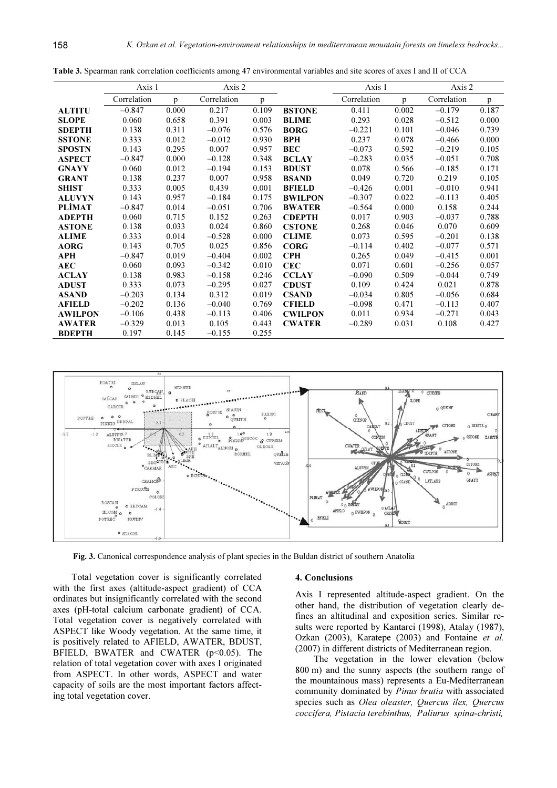|                | Axis 1      |       | Axis 2      |       |                | Axis 1      |       | Axis 2      |       |
|----------------|-------------|-------|-------------|-------|----------------|-------------|-------|-------------|-------|
|                | Correlation | p     | Correlation | p     |                | Correlation | p     | Correlation | p     |
| <b>ALTITU</b>  | $-0.847$    | 0.000 | 0.217       | 0.109 | <b>BSTONE</b>  | 0.411       | 0.002 | $-0.179$    | 0.187 |
| <b>SLOPE</b>   | 0.060       | 0.658 | 0.391       | 0.003 | <b>BLIME</b>   | 0.293       | 0.028 | $-0.512$    | 0.000 |
| <b>SDEPTH</b>  | 0.138       | 0.311 | $-0.076$    | 0.576 | <b>BORG</b>    | $-0.221$    | 0.101 | $-0.046$    | 0.739 |
| <b>SSTONE</b>  | 0.333       | 0.012 | $-0.012$    | 0.930 | <b>BPH</b>     | 0.237       | 0.078 | $-0.466$    | 0.000 |
| <b>SPOSTN</b>  | 0.143       | 0.295 | 0.007       | 0.957 | <b>BEC</b>     | $-0.073$    | 0.592 | $-0.219$    | 0.105 |
| <b>ASPECT</b>  | $-0.847$    | 0.000 | $-0.128$    | 0.348 | <b>BCLAY</b>   | $-0.283$    | 0.035 | $-0.051$    | 0.708 |
| <b>GNAYY</b>   | 0.060       | 0.012 | $-0.194$    | 0.153 | <b>BDUST</b>   | 0.078       | 0.566 | $-0.185$    | 0.171 |
| <b>GRANT</b>   | 0.138       | 0.237 | 0.007       | 0.958 | <b>BSAND</b>   | 0.049       | 0.720 | 0.219       | 0.105 |
| <b>SHIST</b>   | 0.333       | 0.005 | 0.439       | 0.001 | <b>BFIELD</b>  | $-0.426$    | 0.001 | $-0.010$    | 0.941 |
| <b>ALUVYN</b>  | 0.143       | 0.957 | $-0.184$    | 0.175 | <b>BWILPON</b> | $-0.307$    | 0.022 | $-0.113$    | 0.405 |
| <b>PLIMAT</b>  | $-0.847$    | 0.014 | $-0.051$    | 0.706 | <b>BWATER</b>  | $-0.564$    | 0.000 | 0.158       | 0.244 |
| <b>ADEPTH</b>  | 0.060       | 0.715 | 0.152       | 0.263 | <b>CDEPTH</b>  | 0.017       | 0.903 | $-0.037$    | 0.788 |
| <b>ASTONE</b>  | 0.138       | 0.033 | 0.024       | 0.860 | <b>CSTONE</b>  | 0.268       | 0.046 | 0.070       | 0.609 |
| <b>ALIME</b>   | 0.333       | 0.014 | $-0.528$    | 0.000 | <b>CLIME</b>   | 0.073       | 0.595 | $-0.201$    | 0.138 |
| <b>AORG</b>    | 0.143       | 0.705 | 0.025       | 0.856 | <b>CORG</b>    | $-0.114$    | 0.402 | $-0.077$    | 0.571 |
| APH            | $-0.847$    | 0.019 | $-0.404$    | 0.002 | <b>CPH</b>     | 0.265       | 0.049 | $-0.415$    | 0.001 |
| AEC            | 0.060       | 0.093 | $-0.342$    | 0.010 | <b>CEC</b>     | 0.071       | 0.601 | $-0.256$    | 0.057 |
| <b>ACLAY</b>   | 0.138       | 0.983 | $-0.158$    | 0.246 | <b>CCLAY</b>   | $-0.090$    | 0.509 | $-0.044$    | 0.749 |
| <b>ADUST</b>   | 0.333       | 0.073 | $-0.295$    | 0.027 | <b>CDUST</b>   | 0.109       | 0.424 | 0.021       | 0.878 |
| <b>ASAND</b>   | $-0.203$    | 0.134 | 0.312       | 0.019 | <b>CSAND</b>   | $-0.034$    | 0.805 | $-0.056$    | 0.684 |
| <b>AFIELD</b>  | $-0.202$    | 0.136 | $-0.040$    | 0.769 | <b>CFIELD</b>  | $-0.098$    | 0.471 | $-0.113$    | 0.407 |
| <b>AWILPON</b> | $-0.106$    | 0.438 | $-0.113$    | 0.406 | <b>CWILPON</b> | 0.011       | 0.934 | $-0.271$    | 0.043 |
| <b>AWATER</b>  | $-0.329$    | 0.013 | 0.105       | 0.443 | <b>CWATER</b>  | $-0.289$    | 0.031 | 0.108       | 0.427 |
| <b>BDEPTH</b>  | 0.197       | 0.145 | $-0.155$    | 0.255 |                |             |       |             |       |

Table 3. Spearman rank correlation coefficients among 47 environmental variables and site scores of axes I and II of CCA



Fig. 3. Canonical correspondence analysis of plant species in the Buldan district of southern Anatolia

Total vegetation cover is significantly correlated with the first axes (altitude-aspect gradient) of CCA ordinates but insignificantly correlated with the second axes (pH-total calcium carbonate gradient) of CCA. Total vegetation cover is negatively correlated with ASPECT like Woody vegetation. At the same time, it is positively related to AFIELD, AWATER, BDUST, BFIELD, BWATER and CWATER  $(p<0.05)$ . The relation of total vegetation cover with axes I originated from ASPECT. In other words, ASPECT and water capacity of soils are the most important factors affecting total vegetation cover.

## 4. Conclusions

Axis I represented altitude-aspect gradient. On the other hand, the distribution of vegetation clearly defines an altitudinal and exposition series. Similar results were reported by Kantarci (1998), Atalay (1987), Ozkan (2003), Karatepe (2003) and Fontaine et al. (2007) in different districts of Mediterranean region.

The vegetation in the lower elevation (below 800 m) and the sunny aspects (the southern range of the mountainous mass) represents a Eu-Mediterranean community dominated by Pinus brutia with associated species such as Olea oleaster, Quercus ilex, Quercus coccifera, Pistacia terebinthus, Paliurus spina-christi,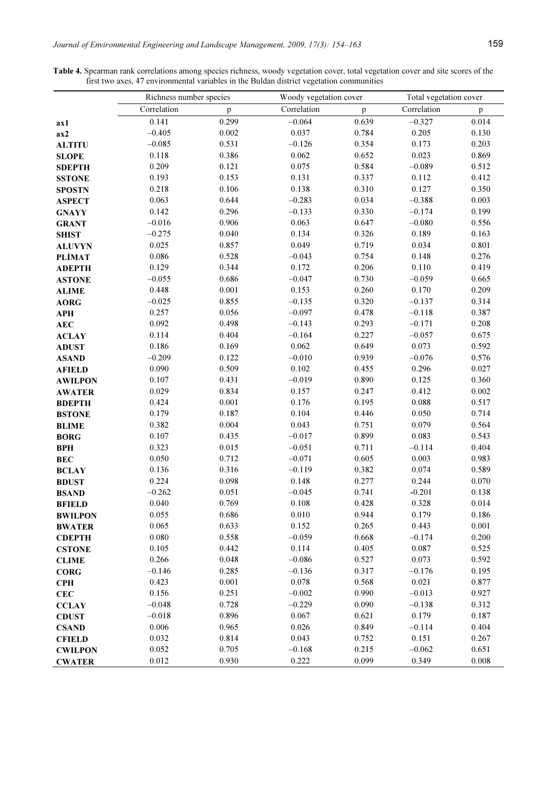Table 4. Spearman rank correlations among species richness, woody vegetation cover, total vegetation cover and site scores of the first two axes, 47 environmental variables in the Buldan district vegetation communities

|                                 | Richness number species |                | Woody vegetation cover |                | Total vegetation cover |                |
|---------------------------------|-------------------------|----------------|------------------------|----------------|------------------------|----------------|
|                                 | Correlation             | $\, {\bf p}$   | Correlation            | $\, {\bf p}$   | Correlation            | p              |
| ax1                             | 0.141                   | 0.299          | $-0.064$               | 0.639          | $-0.327$               | 0.014          |
| ax2                             | $-0.405$                | 0.002          | 0.037                  | 0.784          | 0.205                  | 0.130          |
| <b>ALTITU</b>                   | $-0.085$                | 0.531          | $-0.126$               | 0.354          | 0.173                  | 0.203          |
| <b>SLOPE</b>                    | 0.118                   | 0.386          | 0.062                  | 0.652          | 0.023                  | 0.869          |
| <b>SDEPTH</b>                   | 0.209                   | 0.121          | 0.075                  | 0.584          | $-0.089$               | 0.512          |
| <b>SSTONE</b>                   | 0.193                   | 0.153          | 0.131                  | 0.337          | 0.112                  | 0.412          |
| <b>SPOSTN</b>                   | 0.218                   | 0.106          | 0.138                  | 0.310          | 0.127                  | 0.350          |
| <b>ASPECT</b>                   | 0.063                   | 0.644          | $-0.283$               | 0.034          | $-0.388$               | 0.003          |
| <b>GNAYY</b>                    | 0.142                   | 0.296          | $-0.133$               | 0.330          | $-0.174$               | 0.199          |
| <b>GRANT</b>                    | $-0.016$                | 0.906          | 0.063                  | 0.647          | $-0.080$               | 0.556          |
| <b>SHIST</b>                    | $-0.275$                | 0.040          | 0.134                  | 0.326          | 0.189                  | 0.163          |
| <b>ALUVYN</b>                   | 0.025                   | 0.857          | 0.049                  | 0.719          | 0.034                  | 0.801          |
| <b>PLİMAT</b>                   | 0.086                   | 0.528          | $-0.043$               | 0.754          | 0.148                  | 0.276          |
| <b>ADEPTH</b>                   | 0.129                   | 0.344          | 0.172                  | 0.206          | 0.110                  | 0.419          |
| <b>ASTONE</b>                   | $-0.055$                | 0.686          | $-0.047$               | 0.730          | $-0.059$               | 0.665          |
| <b>ALIME</b>                    | 0.448                   | 0.001          | 0.153                  | 0.260          | 0.170                  | 0.209          |
| <b>AORG</b>                     | $-0.025$                | 0.855          | $-0.135$               | 0.320          | $-0.137$               | 0.314          |
| APH                             | 0.257                   | 0.056          | $-0.097$               | 0.478          | $-0.118$               | 0.387          |
| AEC                             | 0.092                   | 0.498          | $-0.143$               | 0.293          | $-0.171$               | 0.208          |
| <b>ACLAY</b>                    | 0.114                   | 0.404          | $-0.164$               | 0.227          | $-0.057$               | 0.675          |
| <b>ADUST</b>                    | 0.186                   | 0.169          | 0.062                  | 0.649          | 0.073                  | 0.592          |
| <b>ASAND</b>                    | $-0.209$                | 0.122          | $-0.010$               | 0.939          | $-0.076$               | 0.576          |
| <b>AFIELD</b>                   | 0.090                   | 0.509          | 0.102                  | 0.455          | 0.296                  | 0.027          |
| <b>AWILPON</b>                  | 0.107                   | 0.431          | $-0.019$               | 0.890          | 0.125                  | 0.360          |
| <b>AWATER</b>                   | 0.029                   | 0.834          | 0.157                  | 0.247          | 0.412                  | 0.002          |
| <b>BDEPTH</b>                   | 0.424                   | 0.001          | 0.176                  | 0.195          | 0.088                  | 0.517          |
| <b>BSTONE</b>                   | 0.179                   | 0.187          | 0.104                  | 0.446          | 0.050                  | 0.714          |
| <b>BLIME</b>                    | 0.382                   | 0.004          | 0.043                  | 0.751          | 0.079                  | 0.564          |
| <b>BORG</b>                     | 0.107                   | 0.435          | $-0.017$               | 0.899          | 0.083                  | 0.543          |
| <b>BPH</b>                      | 0.323                   | 0.015          | $-0.051$               | 0.711          | $-0.114$               | 0.404          |
| <b>BEC</b>                      | 0.050                   | 0.712          | $-0.071$               | 0.605          | 0.003                  | 0.983          |
| <b>BCLAY</b>                    | 0.136<br>0.224          | 0.316<br>0.098 | $-0.119$<br>0.148      | 0.382<br>0.277 | 0.074<br>0.244         | 0.589<br>0.070 |
| <b>BDUST</b><br><b>BSAND</b>    | $-0.262$                | 0.051          | $-0.045$               | 0.741          | $-0.201$               | 0.138          |
|                                 | 0.040                   | 0.769          | 0.108                  | 0.428          | 0.328                  | 0.014          |
| <b>BFIELD</b>                   | 0.055                   | 0.686          | 0.010                  | 0.944          | 0.179                  | 0.186          |
| <b>BWILPON</b><br><b>BWATER</b> | 0.065                   | 0.633          | 0.152                  | 0.265          | 0.443                  | 0.001          |
| <b>CDEPTH</b>                   | 0.080                   | 0.558          | $-0.059$               | 0.668          | $-0.174$               | 0.200          |
| <b>CSTONE</b>                   | 0.105                   | 0.442          | 0.114                  | 0.405          | 0.087                  | 0.525          |
| <b>CLIME</b>                    | 0.266                   | 0.048          | $-0.086$               | 0.527          | 0.073                  | 0.592          |
| <b>CORG</b>                     | $-0.146$                | 0.285          | $-0.136$               | 0.317          | $-0.176$               | 0.195          |
| $\bf CPH$                       | 0.423                   | 0.001          | 0.078                  | 0.568          | 0.021                  | 0.877          |
| CEC                             | 0.156                   | 0.251          | $-0.002$               | 0.990          | $-0.013$               | 0.927          |
| <b>CCLAY</b>                    | $-0.048$                | 0.728          | $-0.229$               | 0.090          | $-0.138$               | 0.312          |
| <b>CDUST</b>                    | $-0.018$                | 0.896          | 0.067                  | 0.621          | 0.179                  | 0.187          |
| <b>CSAND</b>                    | 0.006                   | 0.965          | 0.026                  | 0.849          | $-0.114$               | 0.404          |
| <b>CFIELD</b>                   | 0.032                   | 0.814          | 0.043                  | 0.752          | 0.151                  | 0.267          |
| <b>CWILPON</b>                  | 0.052                   | 0.705          | $-0.168$               | 0.215          | $-0.062$               | 0.651          |
| <b>CWATER</b>                   | 0.012                   | 0.930          | 0.222                  | 0.099          | 0.349                  | 0.008          |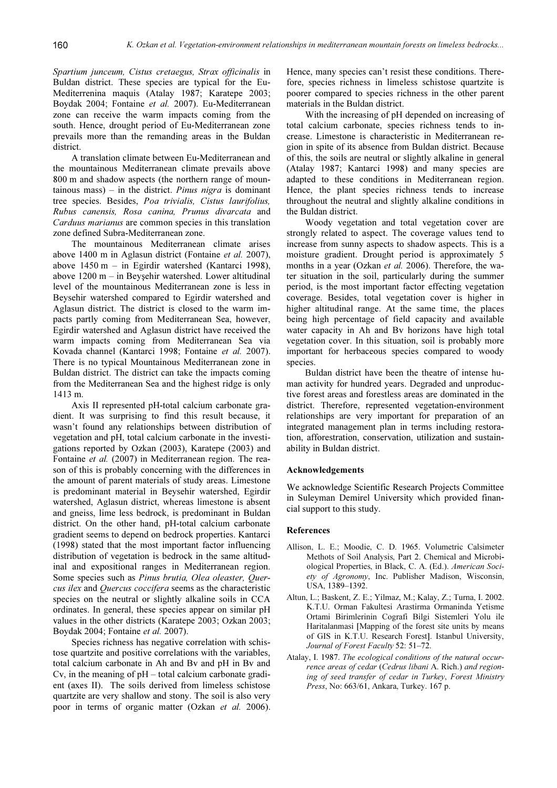Spartium junceum, Cistus cretaegus, Strax officinalis in Buldan district. These species are typical for the Eu-Mediterrenina maquis (Atalay 1987; Karatepe 2003; Boydak 2004; Fontaine et al. 2007). Eu-Mediterranean zone can receive the warm impacts coming from the south. Hence, drought period of Eu-Mediterranean zone prevails more than the remanding areas in the Buldan district.

A translation climate between Eu-Mediterranean and the mountainous Mediterranean climate prevails above 800 m and shadow aspects (the northern range of mountainous mass) – in the district. *Pinus nigra* is dominant tree species. Besides, Poa trivialis, Cistus laurifolius, Rubus canensis, Rosa canina, Prunus divarcata and Carduus marianus are common species in this translation zone defined Subra-Mediterranean zone.

The mountainous Mediterranean climate arises above 1400 m in Aglasun district (Fontaine et al. 2007), above  $1450 \text{ m} - \text{in}$  Egirdir watershed (Kantarci 1998), above 1200 m – in Beyşehir watershed. Lower altitudinal level of the mountainous Mediterranean zone is less in Beysehir watershed compared to Egirdir watershed and Aglasun district. The district is closed to the warm impacts partly coming from Mediterranean Sea, however, Egirdir watershed and Aglasun district have received the warm impacts coming from Mediterranean Sea via Kovada channel (Kantarci 1998; Fontaine et al. 2007). There is no typical Mountainous Mediterranean zone in Buldan district. The district can take the impacts coming from the Mediterranean Sea and the highest ridge is only 1413 m.

Axis II represented pH-total calcium carbonate gradient. It was surprising to find this result because, it wasn't found any relationships between distribution of vegetation and pH, total calcium carbonate in the investigations reported by Ozkan (2003), Karatepe (2003) and Fontaine et al. (2007) in Mediterranean region. The reason of this is probably concerning with the differences in the amount of parent materials of study areas. Limestone is predominant material in Beysehir watershed, Egirdir watershed, Aglasun district, whereas limestone is absent and gneiss, lime less bedrock, is predominant in Buldan district. On the other hand, pH-total calcium carbonate gradient seems to depend on bedrock properties. Kantarci (1998) stated that the most important factor influencing distribution of vegetation is bedrock in the same altitudinal and expositional ranges in Mediterranean region. Some species such as Pinus brutia, Olea oleaster, Quercus ilex and Quercus coccifera seems as the characteristic species on the neutral or slightly alkaline soils in CCA ordinates. In general, these species appear on similar pH values in the other districts (Karatepe 2003; Ozkan 2003; Boydak 2004; Fontaine et al. 2007).

Species richness has negative correlation with schistose quartzite and positive correlations with the variables, total calcium carbonate in Ah and Bv and pH in Bv and Cv, in the meaning of pH – total calcium carbonate gradient (axes II). The soils derived from limeless schistose quartzite are very shallow and stony. The soil is also very poor in terms of organic matter (Ozkan et al. 2006). Hence, many species can't resist these conditions. Therefore, species richness in limeless schistose quartzite is poorer compared to species richness in the other parent materials in the Buldan district.

With the increasing of pH depended on increasing of total calcium carbonate, species richness tends to increase. Limestone is characteristic in Mediterranean region in spite of its absence from Buldan district. Because of this, the soils are neutral or slightly alkaline in general (Atalay 1987; Kantarci 1998) and many species are adapted to these conditions in Mediterranean region. Hence, the plant species richness tends to increase throughout the neutral and slightly alkaline conditions in the Buldan district.

Woody vegetation and total vegetation cover are strongly related to aspect. The coverage values tend to increase from sunny aspects to shadow aspects. This is a moisture gradient. Drought period is approximately 5 months in a year (Ozkan et al. 2006). Therefore, the water situation in the soil, particularly during the summer period, is the most important factor effecting vegetation coverage. Besides, total vegetation cover is higher in higher altitudinal range. At the same time, the places being high percentage of field capacity and available water capacity in Ah and Bv horizons have high total vegetation cover. In this situation, soil is probably more important for herbaceous species compared to woody species.

Buldan district have been the theatre of intense human activity for hundred years. Degraded and unproductive forest areas and forestless areas are dominated in the district. Therefore, represented vegetation-environment relationships are very important for preparation of an integrated management plan in terms including restoration, afforestration, conservation, utilization and sustainability in Buldan district.

## Acknowledgements

We acknowledge Scientific Research Projects Committee in Suleyman Demirel University which provided financial support to this study.

## References

- Allison, L. E.; Moodie, C. D. 1965. Volumetric Calsimeter Methots of Soil Analysis, Part 2. Chemical and Microbiological Properties, in Black, C. A. (Ed.). American Society of Agronomy, Inc. Publisher Madison, Wisconsin, USA, 1389–1392.
- Altun, L.; Baskent, Z. E.; Yilmaz, M.; Kalay, Z.; Turna, I. 2002. K.T.U. Orman Fakultesi Arastirma Ormaninda Yetisme Ortami Birimlerinin Cografi Bilgi Sistemleri Yolu ile Haritalanmasi [Mapping of the forest site units by means of GIS in K.T.U. Research Forest]. Istanbul University, Journal of Forest Faculty 52: 51–72.
- Atalay, I. 1987. The ecological conditions of the natural occurrence areas of cedar (Cedrus libani A. Rich.) and regioning of seed transfer of cedar in Turkey, Forest Ministry Press, No: 663/61, Ankara, Turkey. 167 p.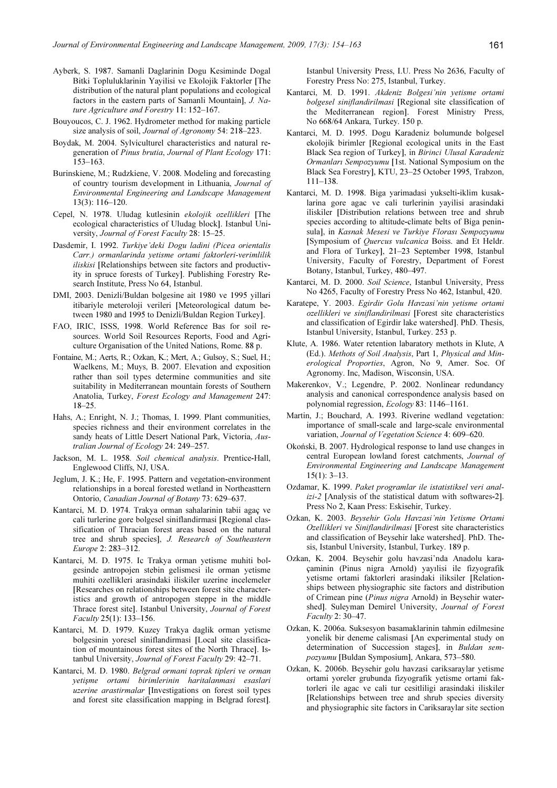- Ayberk, S. 1987. Samanli Daglarinin Dogu Kesiminde Dogal Bitki Topluluklarinin Yayilisi ve Ekolojik Faktorler [The distribution of the natural plant populations and ecological factors in the eastern parts of Samanli Mountain], J. Nature Agriculture and Forestry 11: 152–167.
- Bouyoucos, C. J. 1962. Hydrometer method for making particle size analysis of soil, Journal of Agronomy 54: 218–223.
- Boydak, M. 2004. Sylviculturel characteristics and natural regeneration of Pinus brutia, Journal of Plant Ecology 171: 153–163.
- Burinskiene, M.; Rudzkiene, V. 2008. Modeling and forecasting of country tourism development in Lithuania, Journal of Environmental Engineering and Landscape Management 13(3): 116–120.
- Cepel, N. 1978. Uludag kutlesinin ekolojik ozellikleri [The ecological characteristics of Uludag block]. Istanbul University, Journal of Forest Faculty 28: 15–25.
- Dasdemir, I. 1992. Turkiye'deki Dogu ladini (Picea orientalis Carr.) ormanlarinda yetisme ortami faktorleri-verimlilik iliskisi [Relationships between site factors and productivity in spruce forests of Turkey]. Publishing Forestry Research Institute, Press No 64, Istanbul.
- DMI, 2003. Denizli/Buldan bolgesine ait 1980 ve 1995 yillari itibariyle meteroloji verileri [Meteorological datum between 1980 and 1995 to Denizli/Buldan Region Turkey].
- FAO, IRIC, ISSS, 1998. World Reference Bas for soil resources. World Soil Resources Reports, Food and Agriculture Organisation of the United Nations, Rome. 88 p.
- Fontaine, M.; Aerts, R.; Ozkan, K.; Mert, A.; Gulsoy, S.; Suel, H.; Waelkens, M.; Muys, B. 2007. Elevation and exposition rather than soil types determine communities and site suitability in Mediterranean mountain forests of Southern Anatolia, Turkey, Forest Ecology and Management 247: 18–25.
- Hahs, A.; Enright, N. J.; Thomas, I. 1999. Plant communities, species richness and their environment correlates in the sandy heats of Little Desert National Park, Victoria, Australian Journal of Ecology 24: 249–257.
- Jackson, M. L. 1958. Soil chemical analysis. Prentice-Hall, Englewood Cliffs, NJ, USA.
- Jeglum, J. K.; He, F. 1995. Pattern and vegetation-environment relationships in a boreal forested wetland in Northeasttern Ontorio, Canadian Journal of Botany 73: 629–637.
- Kantarci, M. D. 1974. Trakya orman sahalarinin tabii agaç ve cali turlerine gore bolgesel siniflandirmasi [Regional classification of Thracian forest areas based on the natural tree and shrub species], J. Research of Southeastern Europe 2: 283–312.
- Kantarci, M. D. 1975. Ic Trakya orman yetisme muhiti bolgesinde antropojen stebin gelismesi ile orman yetisme muhiti ozellikleri arasindaki iliskiler uzerine incelemeler [Researches on relationships between forest site characteristics and growth of antropogen steppe in the middle Thrace forest site]. Istanbul University, Journal of Forest Faculty 25(1): 133–156.
- Kantarci, M. D. 1979. Kuzey Trakya daglik orman yetisme bolgesinin yoresel siniflandirmasi [Local site classification of mountainous forest sites of the North Thrace]. Istanbul University, Journal of Forest Faculty 29: 42-71.
- Kantarci, M. D. 1980. Belgrad ormani toprak tipleri ve orman yetişme ortami birimlerinin haritalanmasi esaslari uzerine arastirmalar [Investigations on forest soil types and forest site classification mapping in Belgrad forest].

Istanbul University Press, I.U. Press No 2636, Faculty of Forestry Press No: 275, Istanbul, Turkey.

- Kantarci, M. D. 1991. Akdeniz Bolgesi'nin yetisme ortami bolgesel siniflandirilmasi [Regional site classification of the Mediterranean region]. Forest Ministry Press, No 668/64 Ankara, Turkey. 150 p.
- Kantarci, M. D. 1995. Dogu Karadeniz bolumunde bolgesel ekolojik birimler [Regional ecological units in the East Black Sea region of Turkey], in Birinci Ulusal Karadeniz Ormanları Sempozyumu [1st. National Symposium on the Black Sea Forestry], KTU, 23–25 October 1995, Trabzon, 111–138.
- Kantarci, M. D. 1998. Biga yarimadasi yukselti-iklim kusaklarina gore agac ve cali turlerinin yayilisi arasindaki iliskiler [Distribution relations between tree and shrub species according to altitude-climate belts of Biga peninsula], in Kasnak Mesesi ve Turkiye Florası Sempozyumu [Symposium of Quercus vulcanica Boiss. and Et Heldr. and Flora of Turkey], 21–23 September 1998, Istanbul University, Faculty of Forestry, Department of Forest Botany, Istanbul, Turkey, 480–497.
- Kantarci, M. D. 2000. Soil Science, Istanbul University, Press No 4265, Faculty of Forestry Press No 462, Istanbul, 420.
- Karatepe, Y. 2003. Egirdir Golu Havzasi'nin yetisme ortami ozellikleri ve siniflandirilmasi [Forest site characteristics and classification of Egirdir lake watershed]. PhD. Thesis, Istanbul University, Istanbul, Turkey. 253 p.
- Klute, A. 1986. Water retention labaratory methots in Klute, A (Ed.). Methots of Soil Analysis, Part 1, Physical and Minerological Proporties, Agron, No 9, Amer. Soc. Of Agronomy. Inc, Madison, Wisconsin, USA.
- Makerenkov, V.; Legendre, P. 2002. Nonlinear redundancy analysis and canonical correspondence analysis based on polynomial regression, Ecology 83: 1146–1161.
- Martin, J.; Bouchard, A. 1993. Riverine wedland vegetation: importance of small-scale and large-scale environmental variation, Journal of Vegetation Science 4: 609–620.
- Okoński, B. 2007. Hydrological response to land use changes in central European lowland forest catchments, Journal of Environmental Engineering and Landscape Management 15(1): 3–13.
- Ozdamar, K. 1999. Paket programlar ile istatistiksel veri analizi-2 [Analysis of the statistical datum with softwares-2]. Press No 2, Kaan Press: Eskisehir, Turkey.
- Ozkan, K. 2003. Beysehir Golu Havzasi'nin Yetisme Ortami Ozellikleri ve Siniflandirilmasi [Forest site characteristics and classification of Beysehir lake watershed]. PhD. Thesis, Istanbul University, Istanbul, Turkey. 189 p.
- Ozkan, K. 2004. Beysehir golu havzasi'nda Anadolu karaçaminin (Pinus nigra Arnold) yayılisi ile fizyografik yetisme ortami faktorleri arasindaki iliksiler [Relationships between physiographic site factors and distribution of Crimean pine (Pinus nigra Arnold) in Beysehir watershed]. Suleyman Demirel University, Journal of Forest Faculty 2: 30–47.
- Ozkan, K. 2006a. Suksesyon basamaklarinin tahmin edilmesine yonelik bir deneme calismasi [An experimental study on determination of Succession stages], in Buldan sempozyumu [Buldan Symposium], Ankara, 573–580.
- Ozkan, K. 2006b. Beysehir golu havzasi cariksaraylar yetisme ortami yoreler grubunda fizyografik yetisme ortami faktorleri ile agac ve cali tur cesitliligi arasindaki iliskiler [Relationships between tree and shrub species diversity and physiographic site factors in Cariksaraylar site section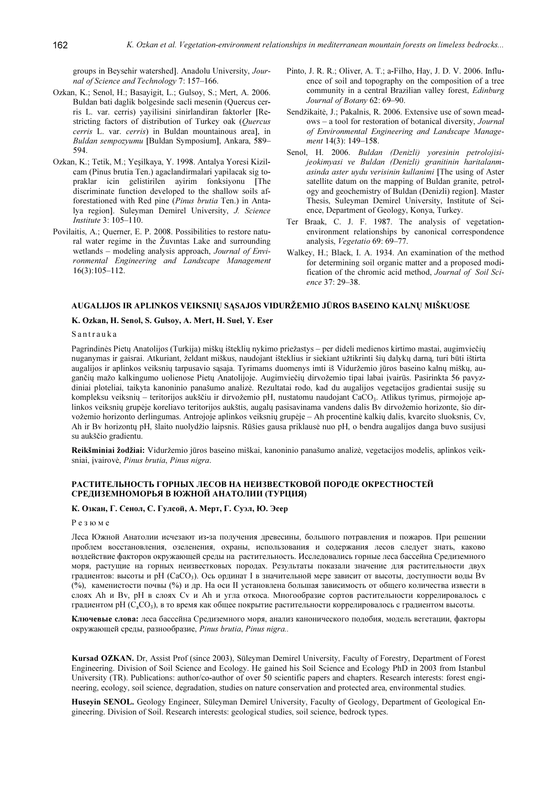groups in Beysehir watershed]. Anadolu University, Journal of Science and Technology 7: 157–166.

- Ozkan, K.; Senol, H.; Basayigit, L.; Gulsoy, S.; Mert, A. 2006. Buldan bati daglik bolgesinde sacli mesenin (Quercus cerris L. var. cerris) yayilisini sinirlandiran faktorler [Restricting factors of distribution of Turkey oak (Quercus cerris L. var. cerris) in Buldan mountainous area], in Buldan sempozyumu [Buldan Symposium], Ankara, 589– 594.
- Ozkan, K.; Tetik, M.; Yeşilkaya, Y. 1998. Antalya Yoresi Kizilcam (Pinus brutia Ten.) agaclandirmalari yapilacak sig topraklar icin gelistirilen ayirim fonksiyonu [The discriminate function developed to the shallow soils afforestationed with Red pine (Pinus brutia Ten.) in Antalya region]. Suleyman Demirel University, J. Science Institute 3: 105–110.
- Povilaitis, A.; Querner, E. P. 2008. Possibilities to restore natural water regime in the Žuvıntas Lake and surrounding wetlands – modeling analysis approach, Journal of Environmental Engineering and Landscape Management 16(3):105–112.
- Pinto, J. R. R.; Oliver, A. T.; a-Filho, Hay, J. D. V. 2006. Influence of soil and topography on the composition of a tree community in a central Brazilian valley forest, Edinburg Journal of Botany 62: 69–90.
- Sendžikaitė, J.; Pakalnis, R. 2006. Extensive use of sown meadows – a tool for restoration of botanical diversity, Journal of Environmental Engineering and Landscape Management 14(3): 149–158.
- Senol, H. 2006. Buldan (Denizli) yoresinin petrolojisijeokimyasi ve Buldan (Denizli) granitinin haritalanmasinda aster uydu verisinin kullanimi [The using of Aster satellite datum on the mapping of Buldan granite, petrology and geochemistry of Buldan (Denizli) region]. Master Thesis, Suleyman Demirel University, Institute of Science, Department of Geology, Konya, Turkey.
- Ter Braak, C. J. F. 1987. The analysis of vegetationenvironment relationships by canonical correspondence analysis, Vegetatio 69: 69–77.
- Walkey, H.; Black, I. A. 1934. An examination of the method for determining soil organic matter and a proposed modification of the chromic acid method, Journal of Soil Science 37: 29–38.

## AUGALIJOS IR APLINKOS VEIKSNIŲ SĄSAJOS VIDURŽEMIO JŪROS BASEINO KALNŲ MIŠKUOSE

## K. Ozkan, H. Senol, S. Gulsoy, A. Mert, H. Suel, Y. Eser

#### Santrauka

Pagrindinės Pietų Anatolijos (Turkija) miškų išteklių nykimo priežastys – per dideli medienos kirtimo mastai, augimviečių nuganymas ir gaisrai. Atkuriant, želdant miškus, naudojant išteklius ir siekiant užtikrinti šių dalykų darną, turi būti ištirta augalijos ir aplinkos veiksnių tarpusavio sąsaja. Tyrimams duomenys imti iš Viduržemio jūros baseino kalnų miškų, augančių mažo kalkingumo uolienose Pietų Anatolijoje. Augimviečių dirvožemio tipai labai įvairūs. Pasirinkta 56 pavyzdiniai ploteliai, taikyta kanoninio panašumo analizė. Rezultatai rodo, kad du augalijos vegetacijos gradientai susiję su kompleksu veiksnių – teritorijos aukščiu ir dirvožemio pH, nustatomu naudojant CaCO<sub>3</sub>. Atlikus tyrimus, pirmojoje aplinkos veiksnių grupėje koreliavo teritorijos aukštis, augalų pasisavinama vandens dalis Bv dirvožemio horizonte, šio dirvožemio horizonto derlingumas. Antrojoje aplinkos veiksnių grupėje – Ah procentinė kalkių dalis, kvarcito sluoksnis, Cv, Ah ir Bv horizontų pH, šlaito nuolydžio laipsnis. Rūšies gausa priklausė nuo pH, o bendra augalijos danga buvo susijusi su aukščio gradientu.

Reikšminiai žodžiai: Viduržemio jūros baseino miškai, kanoninio panašumo analizė, vegetacijos modelis, aplinkos veiksniai, įvairovė, Pinus brutia, Pinus nigra.

## РАСТИТЕЛЬНОСТЬ ГОРНЫХ ЛЕСОВ НА НЕИЗВЕСТКОВОЙ ПОРОДЕ ОКРЕСТНОСТЕЙ СРЕДИЗЕМНОМОРЬЯ В ЮЖНОЙ АНАТОЛИИ (ТУРЦИЯ)

## К. Озкан, Г. Сенол, С. Гулсой, А. Мерт, Г. Суэл, Ю. Эсер

#### Р е з ю м е

Леса Южной Анатолии исчезают из-за получения древесины, большого потравления и пожаров. При решении проблем восстановления, озеленения, охраны, использования и содержания лесов следует знать, каково воздействие факторов окружающей среды на растительность. Исследовались горные леса бассейна Средиземного моря, растущие на горных неизвестковых породах. Результаты показали значение для растительности двух градиентов: высоты и pH (CaCO<sub>3</sub>). Ось ординат I в значительной мере зависит от высоты, доступности воды Bv (%), каменистости почвы (%) и др. На оси II установлена большая зависимость от общего количества извести в слоях Ah и Bv, pH в слоях Cv и Ah и угла откоса. Многообразие сортов растительности коррелировалось с градиентом рН (C<sub>a</sub>CO<sub>3</sub>), в то время как общее покрытие растительности коррелировалось с градиентом высоты.

Ключевые слова: леса бассейна Средиземного моря, анализ канонического подобия, модель вегетации, факторы окружающей среды, разнообразие, Pinus brutia, Pinus nigra..

Kursad OZKAN. Dr, Assist Prof (since 2003), Süleyman Demirel University, Faculty of Forestry, Department of Forest Engineering. Division of Soil Science and Ecology. He gained his Soil Science and Ecology PhD in 2003 from Istanbul University (TR). Publications: author/co-author of over 50 scientific papers and chapters. Research interests: forest engineering, ecology, soil science, degradation, studies on nature conservation and protected area, environmental studies.

Huseyin SENOL. Geology Engineer, Süleyman Demirel University, Faculty of Geology, Department of Geological Engineering. Division of Soil. Research interests: geological studies, soil science, bedrock types.